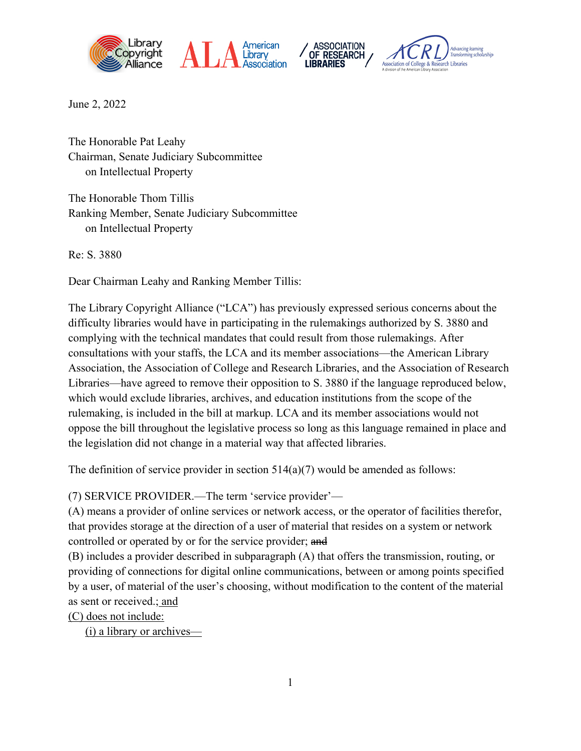







June 2, 2022

The Honorable Pat Leahy Chairman, Senate Judiciary Subcommittee on Intellectual Property

The Honorable Thom Tillis Ranking Member, Senate Judiciary Subcommittee on Intellectual Property

Re: S. 3880

Dear Chairman Leahy and Ranking Member Tillis:

The Library Copyright Alliance ("LCA") has previously expressed serious concerns about the difficulty libraries would have in participating in the rulemakings authorized by S. 3880 and complying with the technical mandates that could result from those rulemakings. After consultations with your staffs, the LCA and its member associations—the American Library Association, the Association of College and Research Libraries, and the Association of Research Libraries—have agreed to remove their opposition to S. 3880 if the language reproduced below, which would exclude libraries, archives, and education institutions from the scope of the rulemaking, is included in the bill at markup. LCA and its member associations would not oppose the bill throughout the legislative process so long as this language remained in place and the legislation did not change in a material way that affected libraries.

The definition of service provider in section  $514(a)(7)$  would be amended as follows:

(7) SERVICE PROVIDER.—The term 'service provider'—

(A) means a provider of online services or network access, or the operator of facilities therefor, that provides storage at the direction of a user of material that resides on a system or network controlled or operated by or for the service provider; and

(B) includes a provider described in subparagraph (A) that offers the transmission, routing, or providing of connections for digital online communications, between or among points specified by a user, of material of the user's choosing, without modification to the content of the material as sent or received.; and

(C) does not include:

(i) a library or archives—